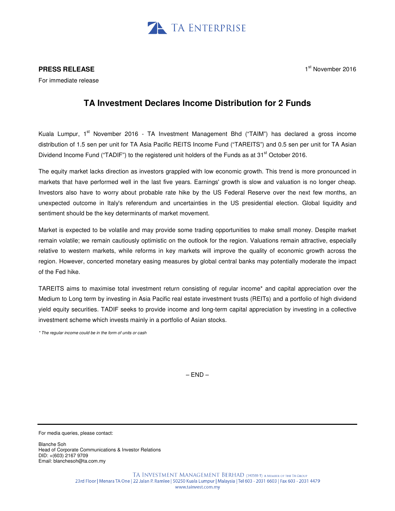

## **PRESS RELEASE**

1<sup>st</sup> November 2016

For immediate release

## **TA Investment Declares Income Distribution for 2 Funds**

Kuala Lumpur, 1<sup>st</sup> November 2016 - TA Investment Management Bhd ("TAIM") has declared a gross income distribution of 1.5 sen per unit for TA Asia Pacific REITS Income Fund ("TAREITS") and 0.5 sen per unit for TA Asian Dividend Income Fund ("TADIF") to the registered unit holders of the Funds as at 31<sup>st</sup> October 2016.

The equity market lacks direction as investors grappled with low economic growth. This trend is more pronounced in markets that have performed well in the last five years. Earnings' growth is slow and valuation is no longer cheap. Investors also have to worry about probable rate hike by the US Federal Reserve over the next few months, an unexpected outcome in Italy's referendum and uncertainties in the US presidential election. Global liquidity and sentiment should be the key determinants of market movement.

Market is expected to be volatile and may provide some trading opportunities to make small money. Despite market remain volatile; we remain cautiously optimistic on the outlook for the region. Valuations remain attractive, especially relative to western markets, while reforms in key markets will improve the quality of economic growth across the region. However, concerted monetary easing measures by global central banks may potentially moderate the impact of the Fed hike.

TAREITS aims to maximise total investment return consisting of regular income\* and capital appreciation over the Medium to Long term by investing in Asia Pacific real estate investment trusts (REITs) and a portfolio of high dividend yield equity securities. TADIF seeks to provide income and long-term capital appreciation by investing in a collective investment scheme which invests mainly in a portfolio of Asian stocks.

\* The regular income could be in the form of units or cash

 $-$  END  $-$ 

For media queries, please contact:

Blanche Soh Head of Corporate Communications & Investor Relations DID: +(603) 2167 9709 Email: blanchesoh@ta.com.my